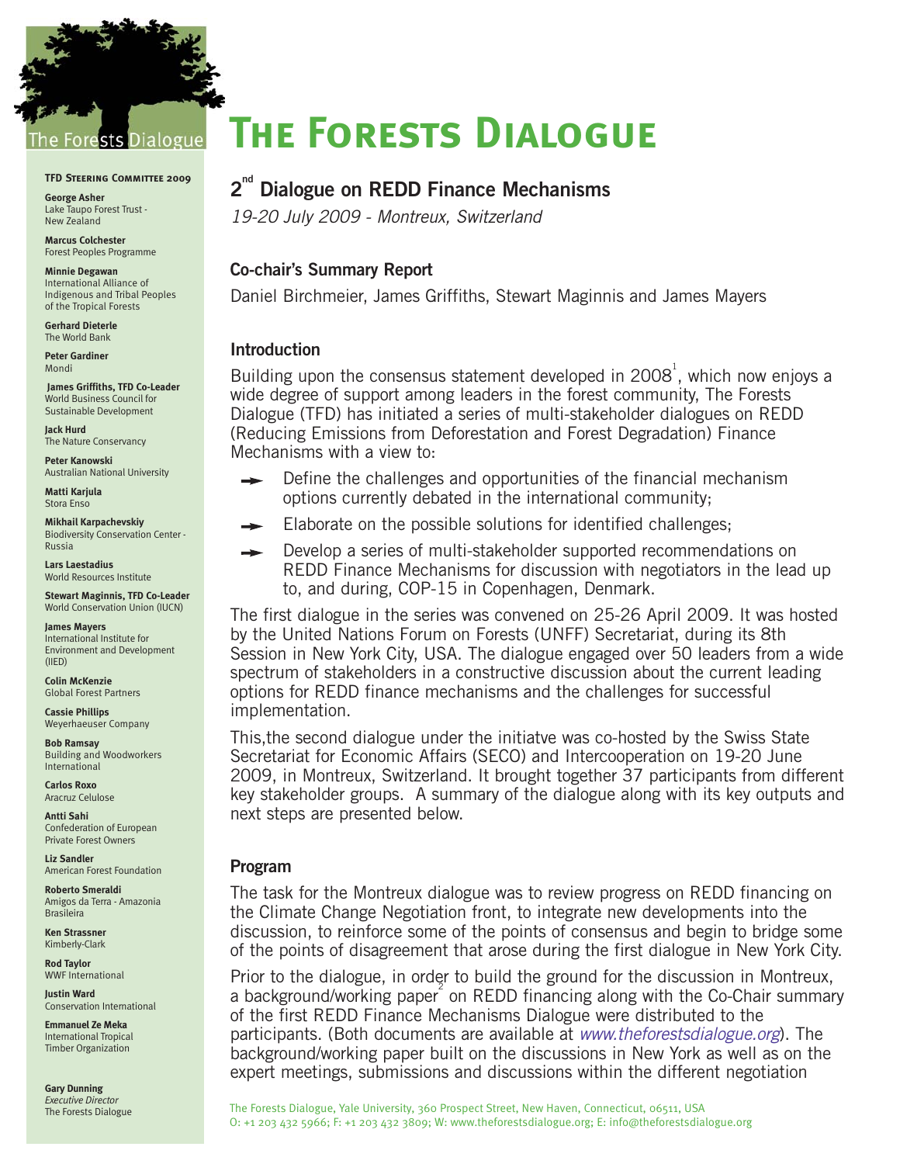

#### **TFD Steering Committee 2009**

**George Asher** Lake Taupo Forest Trust - New Zealand

**Marcus Colchester** Forest Peoples Programme

**Minnie Degawan** International Alliance of Indigenous and Tribal Peoples of the Tropical Forests

**Gerhard Dieterle** The World Bank

**Peter Gardiner** Mondi

**James Griffiths, TFD Co-Leader** World Business Council for Sustainable Development

**Jack Hurd**  The Nature Conservancy

**Peter Kanowski**  Australian National University

**Matti Karjula**  Stora Enso

**Mikhail Karpachevskiy** Biodiversity Conservation Center - Russia

**Lars Laestadius**  World Resources Institute

**Stewart Maginnis, TFD Co-Leader** World Conservation Union (IUCN)

**James Mayers**  International Institute for Environment and Development (IIED)

**Colin McKenzie** Global Forest Partners

**Cassie Phillips** Weyerhaeuser Company

**Bob Ramsay** Building and Woodworkers International

**Carlos Roxo** Aracruz Celulose

**Antti Sahi**  Confederation of European Private Forest Owners

**Liz Sandler**  American Forest Foundation

**Roberto Smeraldi** Amigos da Terra - Amazonia Brasileira

**Ken Strassner**  Kimberly-Clark

**Rod Taylor** WWF International

**Justin Ward** Conservation International

**Emmanuel Ze Meka** International Tropical Timber Organization

**Gary Dunning** *Executive Director* The Forests Dialogue

# **The Forests Dialogue**

# $2^{nd}$  Dialogue on REDD Finance Mechanisms

19-20 July 2009 - Montreux, Switzerland

#### **Co-chair's Summary Report**

Daniel Birchmeier, James Griffiths, Stewart Maginnis and James Mayers

#### **Introduction**

Building upon the consensus statement developed in 2008<sup>1</sup>, which now enjoys a wide degree of support among leaders in the forest community, The Forests Dialogue (TFD) has initiated a series of multi-stakeholder dialogues on REDD (Reducing Emissions from Deforestation and Forest Degradation) Finance Mechanisms with a view to:

- Define the challenges and opportunities of the financial mechanism options currently debated in the international community;
- Elaborate on the possible solutions for identified challenges;
- Develop a series of multi-stakeholder supported recommendations on  $\rightarrow$ REDD Finance Mechanisms for discussion with negotiators in the lead up to, and during, COP-15 in Copenhagen, Denmark.

The first dialogue in the series was convened on 25-26 April 2009. It was hosted by the United Nations Forum on Forests (UNFF) Secretariat, during its 8th Session in New York City, USA. The dialogue engaged over 50 leaders from a wide spectrum of stakeholders in a constructive discussion about the current leading options for REDD finance mechanisms and the challenges for successful implementation.

This,the second dialogue under the initiatve was co-hosted by the Swiss State Secretariat for Economic Affairs (SECO) and Intercooperation on 19-20 June 2009, in Montreux, Switzerland. It brought together 37 participants from different key stakeholder groups. A summary of the dialogue along with its key outputs and next steps are presented below.

#### **Program**

The task for the Montreux dialogue was to review progress on REDD financing on the Climate Change Negotiation front, to integrate new developments into the discussion, to reinforce some of the points of consensus and begin to bridge some of the points of disagreement that arose during the first dialogue in New York City.

Prior to the dialogue, in order to build the ground for the discussion in Montreux, a background/working paper<sup>2</sup> on REDD financing along with the Co-Chair summary of the first REDD Finance Mechanisms Dialogue were distributed to the participants. (Both documents are available at www.theforestsdialogue.org). The background/working paper built on the discussions in New York as well as on the expert meetings, submissions and discussions within the different negotiation

The Forests Dialogue, Yale University, 360 Prospect Street, New Haven, Connecticut, 06511, USA O: +1 203 432 5966; F: +1 203 432 3809; W: www.theforestsdialogue.org; E: info@theforestsdialogue.org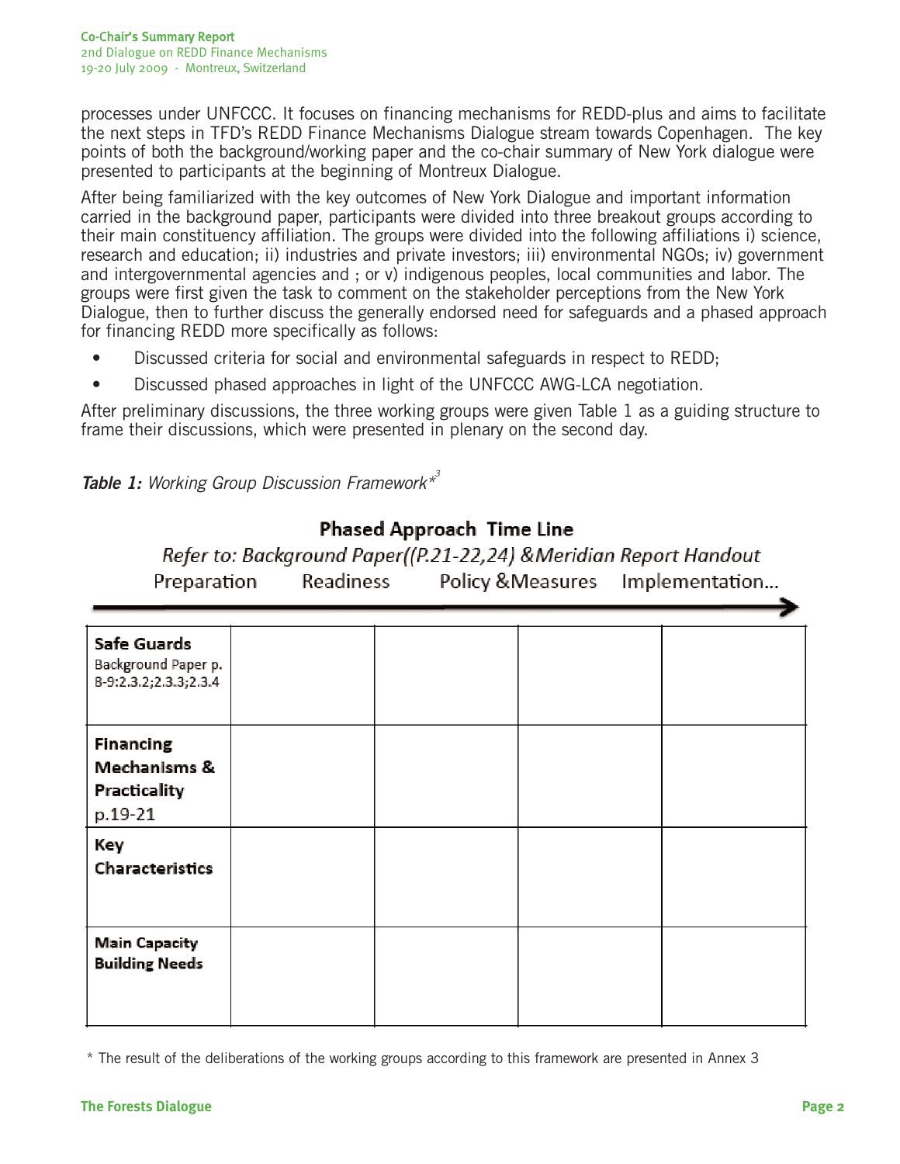processes under UNFCCC. It focuses on financing mechanisms for REDD-plus and aims to facilitate the next steps in TFD's REDD Finance Mechanisms Dialogue stream towards Copenhagen. The key points of both the background/working paper and the co-chair summary of New York dialogue were presented to participants at the beginning of Montreux Dialogue.

After being familiarized with the key outcomes of New York Dialogue and important information carried in the background paper, participants were divided into three breakout groups according to their main constituency affiliation. The groups were divided into the following affiliations i) science, research and education; ii) industries and private investors; iii) environmental NGOs; iv) government and intergovernmental agencies and ; or v) indigenous peoples, local communities and labor. The groups were first given the task to comment on the stakeholder perceptions from the New York Dialogue, then to further discuss the generally endorsed need for safeguards and a phased approach for financing REDD more specifically as follows:

- Discussed criteria for social and environmental safeguards in respect to REDD;
- Discussed phased approaches in light of the UNFCCC AWG-LCA negotiation.

After preliminary discussions, the three working groups were given Table 1 as a guiding structure to frame their discussions, which were presented in plenary on the second day.

Table 1: Working Group Discussion Framework<sup>\*3</sup>

## **Phased Approach Time Line**

Refer to: Background Paper((P.21-22,24) & Meridian Report Handout Readiness Preparation Policy & Measures Implementation...

| Safe Guards<br>Background Paper p.<br>8-9:2.3.2;2.3.3;2.3.4 |  |  |
|-------------------------------------------------------------|--|--|
| <b>Financing</b><br>Mechanisms &<br>Practicality<br>p.19-21 |  |  |
| Key<br>Characteristics                                      |  |  |
| <b>Main Capacity</b><br><b>Building Needs</b>               |  |  |

<sup>\*</sup> The result of the deliberations of the working groups according to this framework are presented in Annex 3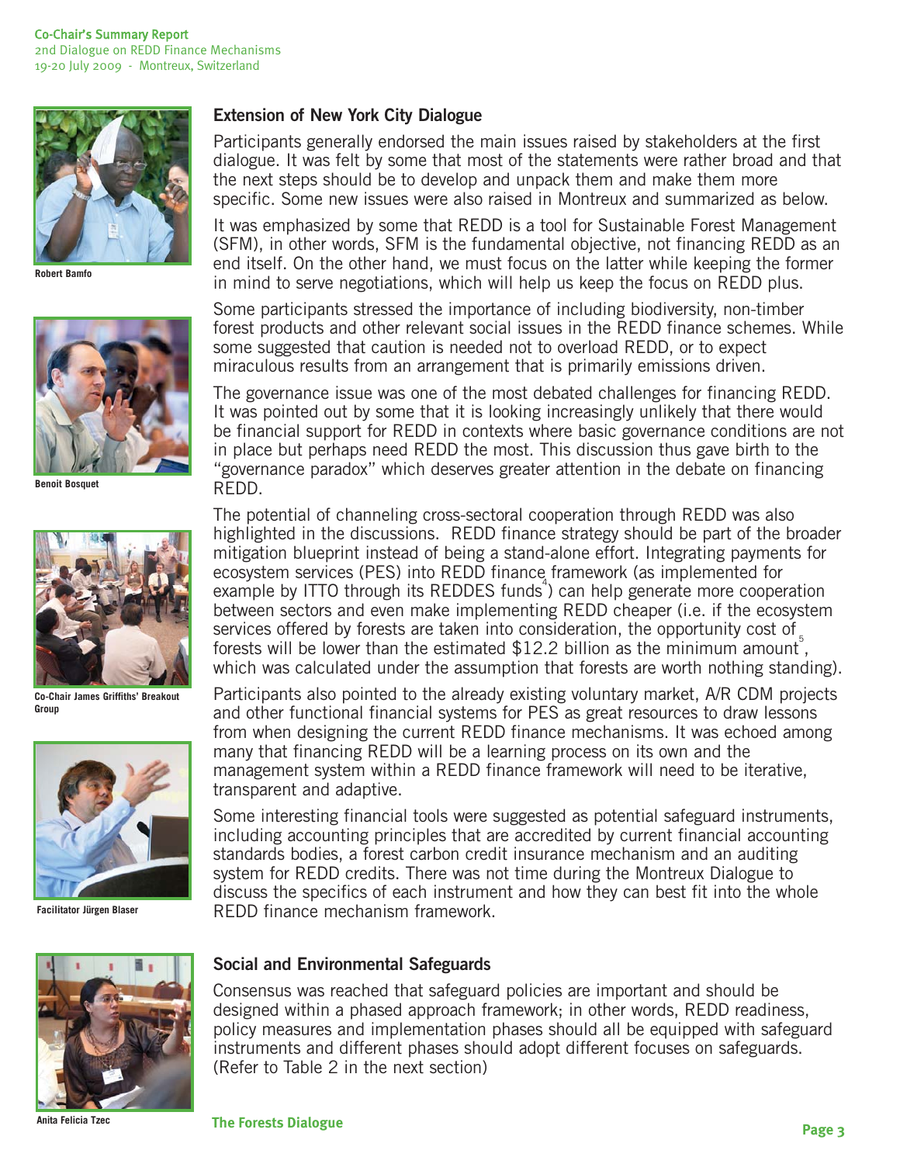

**Robert Bamfo**



**Benoit Bosquet**



**Co-Chair James Griffiths' Breakout Group**



**Facilitator Jürgen Blaser**

### **Extension of New York City Dialogue**

Participants generally endorsed the main issues raised by stakeholders at the first dialogue. It was felt by some that most of the statements were rather broad and that the next steps should be to develop and unpack them and make them more specific. Some new issues were also raised in Montreux and summarized as below.

It was emphasized by some that REDD is a tool for Sustainable Forest Management (SFM), in other words, SFM is the fundamental objective, not financing REDD as an end itself. On the other hand, we must focus on the latter while keeping the former in mind to serve negotiations, which will help us keep the focus on REDD plus.

Some participants stressed the importance of including biodiversity, non-timber forest products and other relevant social issues in the REDD finance schemes. While some suggested that caution is needed not to overload REDD, or to expect miraculous results from an arrangement that is primarily emissions driven.

The governance issue was one of the most debated challenges for financing REDD. It was pointed out by some that it is looking increasingly unlikely that there would be financial support for REDD in contexts where basic governance conditions are not in place but perhaps need REDD the most. This discussion thus gave birth to the "governance paradox" which deserves greater attention in the debate on financing REDD.

The potential of channeling cross-sectoral cooperation through REDD was also highlighted in the discussions. REDD finance strategy should be part of the broader mitigation blueprint instead of being a stand-alone effort. Integrating payments for ecosystem services (PES) into REDD finance framework (as implemented for example by ITTO through its REDDES funds<sup>4</sup>) can help generate more cooperation between sectors and even make implementing REDD cheaper (i.e. if the ecosystem services offered by forests are taken into consideration, the opportunity cost of forests will be lower than the estimated  $$12.2$  billion as the minimum amount, which was calculated under the assumption that forests are worth nothing standing).

Participants also pointed to the already existing voluntary market, A/R CDM projects and other functional financial systems for PES as great resources to draw lessons from when designing the current REDD finance mechanisms. It was echoed among many that financing REDD will be a learning process on its own and the management system within a REDD finance framework will need to be iterative, transparent and adaptive.

Some interesting financial tools were suggested as potential safeguard instruments, including accounting principles that are accredited by current financial accounting standards bodies, a forest carbon credit insurance mechanism and an auditing system for REDD credits. There was not time during the Montreux Dialogue to discuss the specifics of each instrument and how they can best fit into the whole REDD finance mechanism framework.

**Anita Felicia Tzec**

#### **Social and Environmental Safeguards**

Consensus was reached that safeguard policies are important and should be designed within a phased approach framework; in other words, REDD readiness, policy measures and implementation phases should all be equipped with safeguard instruments and different phases should adopt different focuses on safeguards. (Refer to Table 2 in the next section)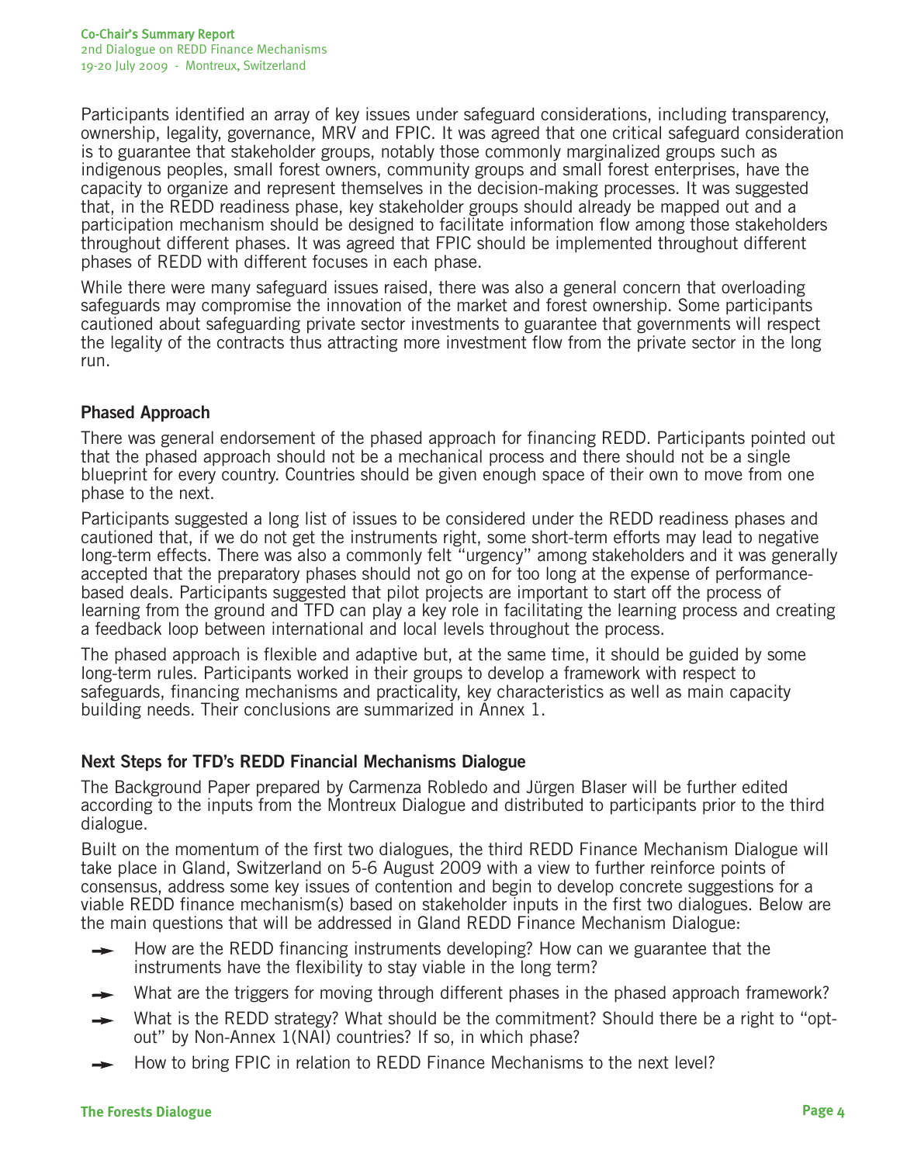Participants identified an array of key issues under safeguard considerations, including transparency, ownership, legality, governance, MRV and FPIC. It was agreed that one critical safeguard consideration is to guarantee that stakeholder groups, notably those commonly marginalized groups such as indigenous peoples, small forest owners, community groups and small forest enterprises, have the capacity to organize and represent themselves in the decision-making processes. It was suggested that, in the REDD readiness phase, key stakeholder groups should already be mapped out and a participation mechanism should be designed to facilitate information flow among those stakeholders throughout different phases. It was agreed that FPIC should be implemented throughout different phases of REDD with different focuses in each phase.

While there were many safeguard issues raised, there was also a general concern that overloading safeguards may compromise the innovation of the market and forest ownership. Some participants cautioned about safeguarding private sector investments to guarantee that governments will respect the legality of the contracts thus attracting more investment flow from the private sector in the long run.

### **Phased Approach**

There was general endorsement of the phased approach for financing REDD. Participants pointed out that the phased approach should not be a mechanical process and there should not be a single blueprint for every country. Countries should be given enough space of their own to move from one phase to the next.

Participants suggested a long list of issues to be considered under the REDD readiness phases and cautioned that, if we do not get the instruments right, some short-term efforts may lead to negative long-term effects. There was also a commonly felt "urgency" among stakeholders and it was generally accepted that the preparatory phases should not go on for too long at the expense of performancebased deals. Participants suggested that pilot projects are important to start off the process of learning from the ground and TFD can play a key role in facilitating the learning process and creating a feedback loop between international and local levels throughout the process.

The phased approach is flexible and adaptive but, at the same time, it should be guided by some long-term rules. Participants worked in their groups to develop a framework with respect to safeguards, financing mechanisms and practicality, key characteristics as well as main capacity building needs. Their conclusions are summarized in Annex 1.

### **Next Steps for TFD's REDD Financial Mechanisms Dialogue**

The Background Paper prepared by Carmenza Robledo and Jürgen Blaser will be further edited according to the inputs from the Montreux Dialogue and distributed to participants prior to the third dialogue.

Built on the momentum of the first two dialogues, the third REDD Finance Mechanism Dialogue will take place in Gland, Switzerland on 5-6 August 2009 with a view to further reinforce points of consensus, address some key issues of contention and begin to develop concrete suggestions for a viable REDD finance mechanism(s) based on stakeholder inputs in the first two dialogues. Below are the main questions that will be addressed in Gland REDD Finance Mechanism Dialogue:

- How are the REDD financing instruments developing? How can we guarantee that the instruments have the flexibility to stay viable in the long term?
- What are the triggers for moving through different phases in the phased approach framework?
- What is the REDD strategy? What should be the commitment? Should there be a right to "optout" by Non-Annex 1(NAI) countries? If so, in which phase?
- How to bring FPIC in relation to REDD Finance Mechanisms to the next level?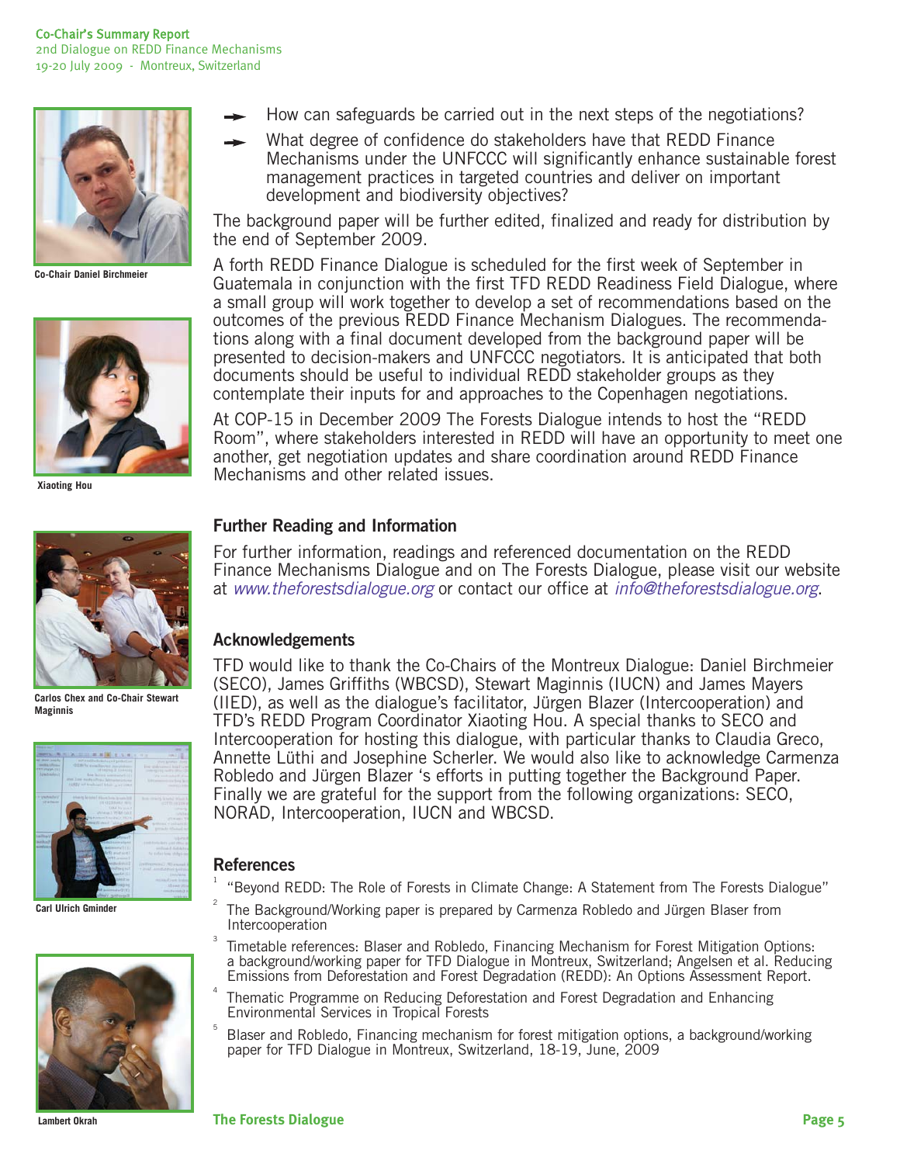

**Co-Chair Daniel Birchmeier**



**Xiaoting Hou**



**Carlos Chex and Co-Chair Stewart Maginnis**



**Carl Ulrich Gminder**



**Lambert Okrah**

- How can safeguards be carried out in the next steps of the negotiations?
- What degree of confidence do stakeholders have that REDD Finance Mechanisms under the UNFCCC will significantly enhance sustainable forest management practices in targeted countries and deliver on important development and biodiversity objectives?

The background paper will be further edited, finalized and ready for distribution by the end of September 2009.

A forth REDD Finance Dialogue is scheduled for the first week of September in Guatemala in conjunction with the first TFD REDD Readiness Field Dialogue, where a small group will work together to develop a set of recommendations based on the outcomes of the previous REDD Finance Mechanism Dialogues. The recommendations along with a final document developed from the background paper will be presented to decision-makers and UNFCCC negotiators. It is anticipated that both documents should be useful to individual REDD stakeholder groups as they contemplate their inputs for and approaches to the Copenhagen negotiations.

At COP-15 in December 2009 The Forests Dialogue intends to host the "REDD Room", where stakeholders interested in REDD will have an opportunity to meet one another, get negotiation updates and share coordination around REDD Finance Mechanisms and other related issues.

#### **Further Reading and Information**

For further information, readings and referenced documentation on the REDD Finance Mechanisms Dialogue and on The Forests Dialogue, please visit our website at www.theforestsdialogue.org or contact our office at info@theforestsdialogue.org.

#### **Acknowledgements**

TFD would like to thank the Co-Chairs of the Montreux Dialogue: Daniel Birchmeier (SECO), James Griffiths (WBCSD), Stewart Maginnis (IUCN) and James Mayers (IIED), as well as the dialogue's facilitator, Jürgen Blazer (Intercooperation) and TFD's REDD Program Coordinator Xiaoting Hou. A special thanks to SECO and Intercooperation for hosting this dialogue, with particular thanks to Claudia Greco, Annette Lüthi and Josephine Scherler. We would also like to acknowledge Carmenza Robledo and Jürgen Blazer 's efforts in putting together the Background Paper. Finally we are grateful for the support from the following organizations: SECO, NORAD, Intercooperation, IUCN and WBCSD.

#### **References**

1

2

- "Beyond REDD: The Role of Forests in Climate Change: A Statement from The Forests Dialogue"
- The Background/Working paper is prepared by Carmenza Robledo and Jürgen Blaser from **Intercooperation**
- Timetable references: Blaser and Robledo, Financing Mechanism for Forest Mitigation Options: a background/working paper for TFD Dialogue in Montreux, Switzerland; Angelsen et al. Reducing Emissions from Deforestation and Forest Degradation (REDD): An Options Assessment Report.
- Thematic Programme on Reducing Deforestation and Forest Degradation and Enhancing Environmental Services in Tropical Forests
- 5 Blaser and Robledo, Financing mechanism for forest mitigation options, a background/working paper for TFD Dialogue in Montreux, Switzerland, 18-19, June, 2009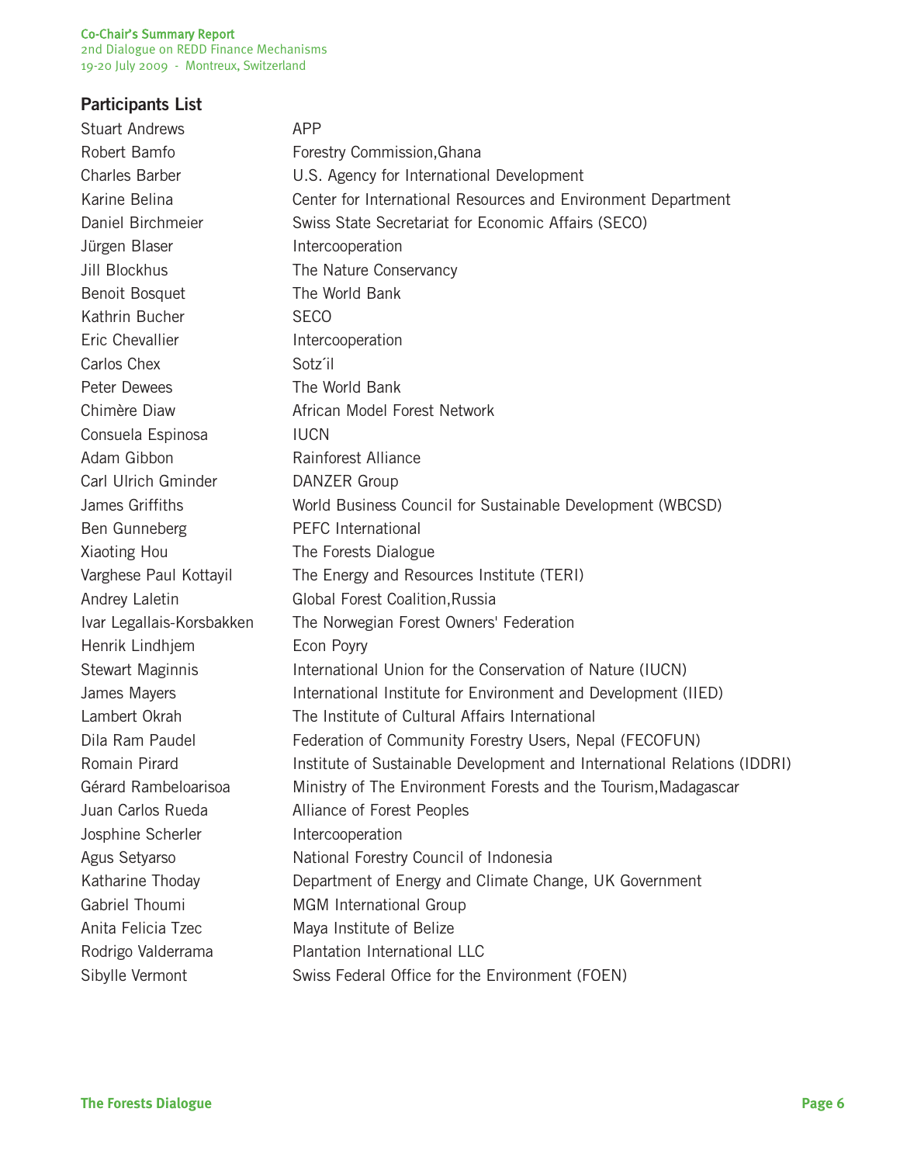#### Co-Chair's Summary Report

2nd Dialogue on REDD Finance Mechanisms 19-20 July 2009 - Montreux, Switzerland

# **Participants List**

| <b>Stuart Andrews</b>     | <b>APP</b>                                                               |
|---------------------------|--------------------------------------------------------------------------|
| Robert Bamfo              | Forestry Commission, Ghana                                               |
| <b>Charles Barber</b>     | U.S. Agency for International Development                                |
| Karine Belina             | Center for International Resources and Environment Department            |
| Daniel Birchmeier         | Swiss State Secretariat for Economic Affairs (SECO)                      |
| Jürgen Blaser             | Intercooperation                                                         |
| <b>Jill Blockhus</b>      | The Nature Conservancy                                                   |
| Benoit Bosquet            | The World Bank                                                           |
| Kathrin Bucher            | <b>SECO</b>                                                              |
| Eric Chevallier           | Intercooperation                                                         |
| Carlos Chex               | Sotz'il                                                                  |
| <b>Peter Dewees</b>       | The World Bank                                                           |
| Chimère Diaw              | African Model Forest Network                                             |
| Consuela Espinosa         | <b>IUCN</b>                                                              |
| Adam Gibbon               | Rainforest Alliance                                                      |
| Carl Ulrich Gminder       | DANZER Group                                                             |
| James Griffiths           | World Business Council for Sustainable Development (WBCSD)               |
| Ben Gunneberg             | <b>PEFC</b> International                                                |
| Xiaoting Hou              | The Forests Dialogue                                                     |
| Varghese Paul Kottayil    | The Energy and Resources Institute (TERI)                                |
| Andrey Laletin            | Global Forest Coalition, Russia                                          |
| Ivar Legallais-Korsbakken | The Norwegian Forest Owners' Federation                                  |
| Henrik Lindhjem           | Econ Poyry                                                               |
| Stewart Maginnis          | International Union for the Conservation of Nature (IUCN)                |
| James Mayers              | International Institute for Environment and Development (IIED)           |
| Lambert Okrah             | The Institute of Cultural Affairs International                          |
| Dila Ram Paudel           | Federation of Community Forestry Users, Nepal (FECOFUN)                  |
| Romain Pirard             | Institute of Sustainable Development and International Relations (IDDRI) |
| Gérard Rambeloarisoa      | Ministry of The Environment Forests and the Tourism, Madagascar          |
| Juan Carlos Rueda         | Alliance of Forest Peoples                                               |
| Josphine Scherler         | Intercooperation                                                         |
| Agus Setyarso             | National Forestry Council of Indonesia                                   |
| Katharine Thoday          | Department of Energy and Climate Change, UK Government                   |
| Gabriel Thoumi            | MGM International Group                                                  |
| Anita Felicia Tzec        | Maya Institute of Belize                                                 |
| Rodrigo Valderrama        | Plantation International LLC                                             |
| Sibylle Vermont           | Swiss Federal Office for the Environment (FOEN)                          |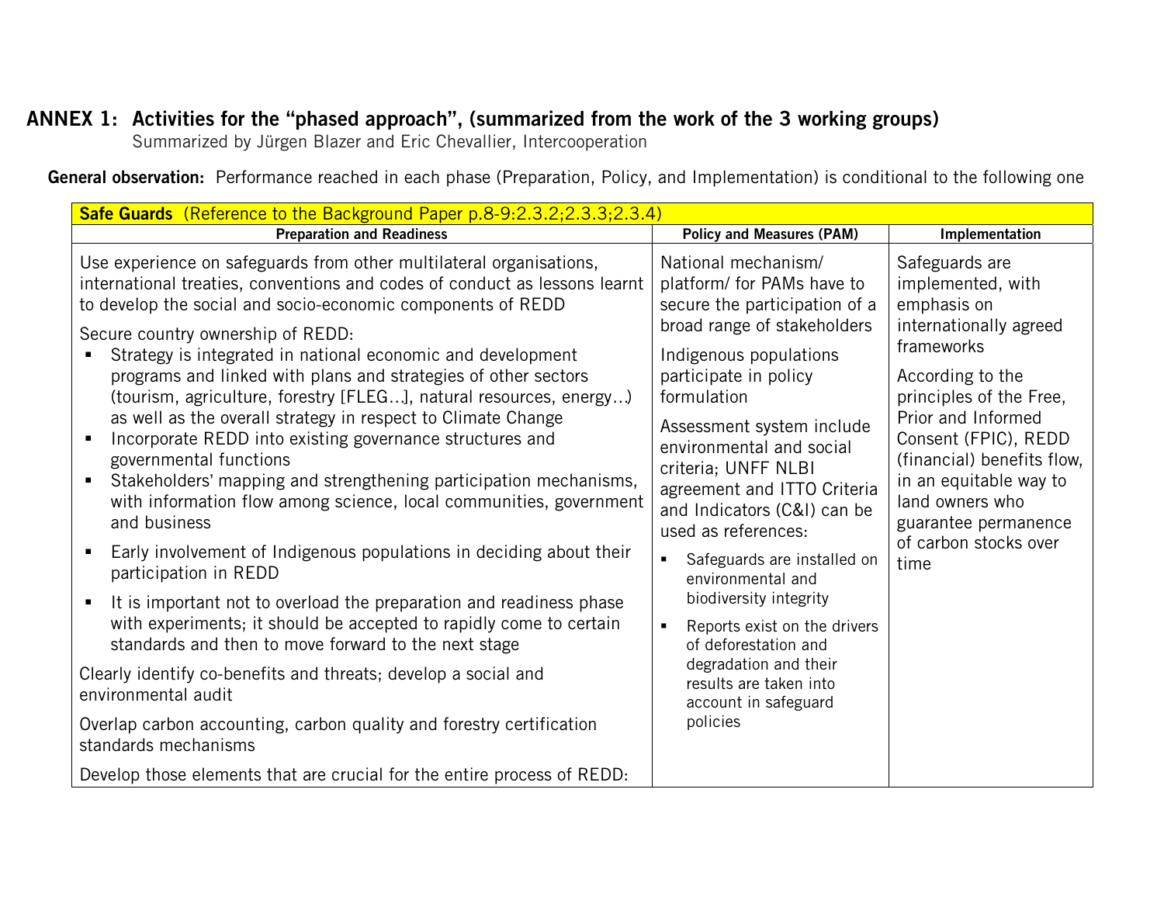# **ANNEX 1: Activities for the "phased approach", (summarized from the work of the 3 working groups)**

Summarized by Jürgen Blazer and Eric Chevallier, Intercooperation

 **General observation:** Performance reached in each phase (Preparation, Policy, and Implementation) is conditional to the following one

| Safe Guards (Reference to the Background Paper p.8-9:2.3.2;2.3.3;2.3.4)                                                                                                                                                                                                                                                                                                                                                                                                                                                                                                                                                                                                                                                                                                                         |                                                                                                                                                                                                                                                                                                                                                          |                                                                                                                                                                                                                                                                                            |  |
|-------------------------------------------------------------------------------------------------------------------------------------------------------------------------------------------------------------------------------------------------------------------------------------------------------------------------------------------------------------------------------------------------------------------------------------------------------------------------------------------------------------------------------------------------------------------------------------------------------------------------------------------------------------------------------------------------------------------------------------------------------------------------------------------------|----------------------------------------------------------------------------------------------------------------------------------------------------------------------------------------------------------------------------------------------------------------------------------------------------------------------------------------------------------|--------------------------------------------------------------------------------------------------------------------------------------------------------------------------------------------------------------------------------------------------------------------------------------------|--|
| <b>Preparation and Readiness</b>                                                                                                                                                                                                                                                                                                                                                                                                                                                                                                                                                                                                                                                                                                                                                                | <b>Policy and Measures (PAM)</b>                                                                                                                                                                                                                                                                                                                         | Implementation                                                                                                                                                                                                                                                                             |  |
| Use experience on safeguards from other multilateral organisations,<br>international treaties, conventions and codes of conduct as lessons learnt<br>to develop the social and socio-economic components of REDD<br>Secure country ownership of REDD:<br>Strategy is integrated in national economic and development<br>programs and linked with plans and strategies of other sectors<br>(tourism, agriculture, forestry [FLEG], natural resources, energy)<br>as well as the overall strategy in respect to Climate Change<br>Incorporate REDD into existing governance structures and<br>governmental functions<br>Stakeholders' mapping and strengthening participation mechanisms,<br>$\blacksquare$<br>with information flow among science, local communities, government<br>and business | National mechanism/<br>platform/ for PAMs have to<br>secure the participation of a<br>broad range of stakeholders<br>Indigenous populations<br>participate in policy<br>formulation<br>Assessment system include<br>environmental and social<br>criteria; UNFF NLBI<br>agreement and ITTO Criteria<br>and Indicators (C&I) can be<br>used as references: | Safeguards are<br>implemented, with<br>emphasis on<br>internationally agreed<br>frameworks<br>According to the<br>principles of the Free,<br>Prior and Informed<br>Consent (FPIC), REDD<br>(financial) benefits flow,<br>in an equitable way to<br>land owners who<br>guarantee permanence |  |
| Early involvement of Indigenous populations in deciding about their<br>participation in REDD                                                                                                                                                                                                                                                                                                                                                                                                                                                                                                                                                                                                                                                                                                    | Safeguards are installed on<br>environmental and                                                                                                                                                                                                                                                                                                         | of carbon stocks over<br>time                                                                                                                                                                                                                                                              |  |
| It is important not to overload the preparation and readiness phase<br>with experiments; it should be accepted to rapidly come to certain<br>standards and then to move forward to the next stage                                                                                                                                                                                                                                                                                                                                                                                                                                                                                                                                                                                               | biodiversity integrity<br>Reports exist on the drivers<br>of deforestation and                                                                                                                                                                                                                                                                           |                                                                                                                                                                                                                                                                                            |  |
| Clearly identify co-benefits and threats; develop a social and<br>environmental audit                                                                                                                                                                                                                                                                                                                                                                                                                                                                                                                                                                                                                                                                                                           | degradation and their<br>results are taken into<br>account in safeguard                                                                                                                                                                                                                                                                                  |                                                                                                                                                                                                                                                                                            |  |
| Overlap carbon accounting, carbon quality and forestry certification<br>standards mechanisms                                                                                                                                                                                                                                                                                                                                                                                                                                                                                                                                                                                                                                                                                                    | policies                                                                                                                                                                                                                                                                                                                                                 |                                                                                                                                                                                                                                                                                            |  |
| Develop those elements that are crucial for the entire process of REDD:                                                                                                                                                                                                                                                                                                                                                                                                                                                                                                                                                                                                                                                                                                                         |                                                                                                                                                                                                                                                                                                                                                          |                                                                                                                                                                                                                                                                                            |  |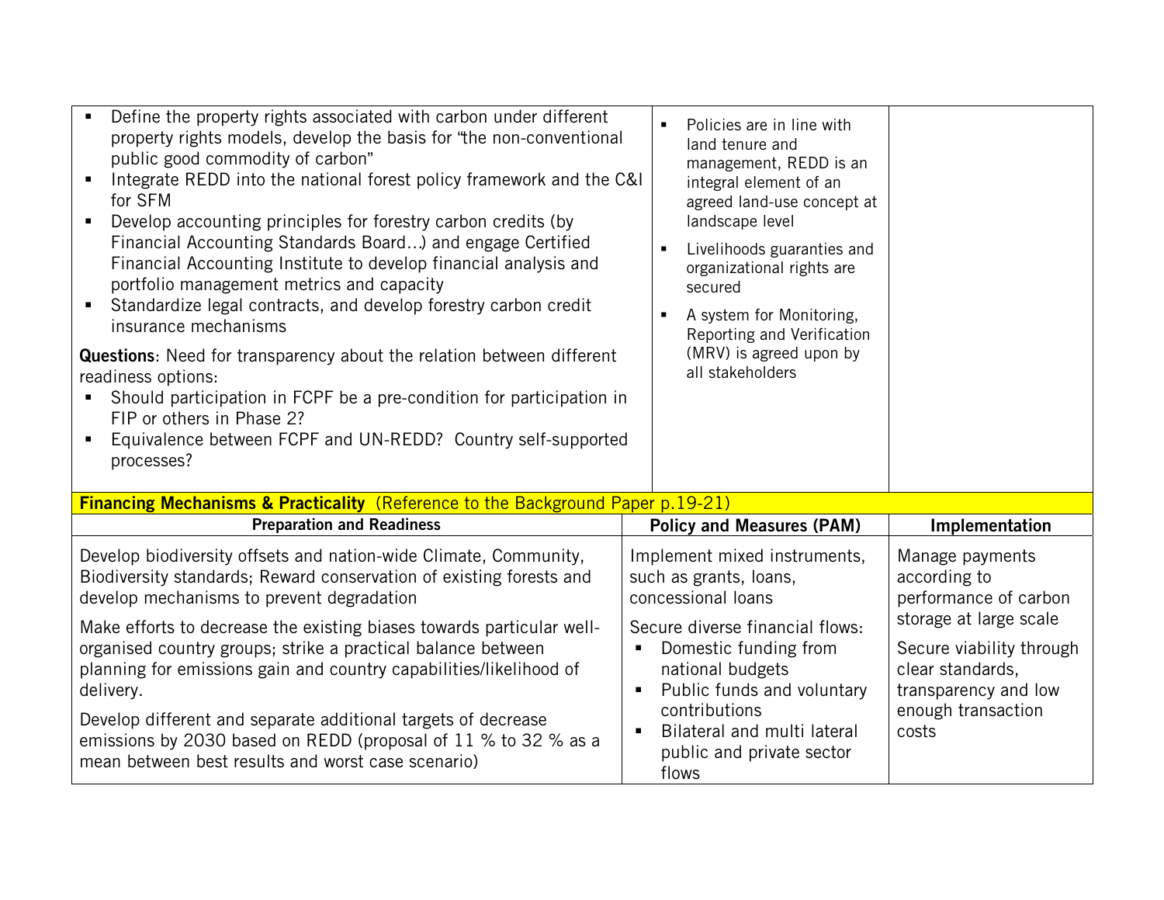| Define the property rights associated with carbon under different<br>property rights models, develop the basis for "the non-conventional<br>public good commodity of carbon"<br>Integrate REDD into the national forest policy framework and the C&I<br>for SFM<br>Develop accounting principles for forestry carbon credits (by<br>Financial Accounting Standards Board) and engage Certified<br>Financial Accounting Institute to develop financial analysis and<br>portfolio management metrics and capacity<br>Standardize legal contracts, and develop forestry carbon credit<br>$\blacksquare$<br>insurance mechanisms<br>Questions: Need for transparency about the relation between different<br>readiness options:<br>Should participation in FCPF be a pre-condition for participation in<br>FIP or others in Phase 2?<br>Equivalence between FCPF and UN-REDD? Country self-supported<br>processes? | Policies are in line with<br>$\blacksquare$<br>land tenure and<br>management, REDD is an<br>integral element of an<br>agreed land-use concept at<br>landscape level<br>Livelihoods guaranties and<br>$\blacksquare$<br>organizational rights are<br>secured<br>A system for Monitoring,<br>Reporting and Verification<br>(MRV) is agreed upon by<br>all stakeholders |                                                                                                |
|----------------------------------------------------------------------------------------------------------------------------------------------------------------------------------------------------------------------------------------------------------------------------------------------------------------------------------------------------------------------------------------------------------------------------------------------------------------------------------------------------------------------------------------------------------------------------------------------------------------------------------------------------------------------------------------------------------------------------------------------------------------------------------------------------------------------------------------------------------------------------------------------------------------|----------------------------------------------------------------------------------------------------------------------------------------------------------------------------------------------------------------------------------------------------------------------------------------------------------------------------------------------------------------------|------------------------------------------------------------------------------------------------|
| <b>Financing Mechanisms &amp; Practicality</b> (Reference to the Background Paper p.19-21)                                                                                                                                                                                                                                                                                                                                                                                                                                                                                                                                                                                                                                                                                                                                                                                                                     |                                                                                                                                                                                                                                                                                                                                                                      |                                                                                                |
| <b>Preparation and Readiness</b>                                                                                                                                                                                                                                                                                                                                                                                                                                                                                                                                                                                                                                                                                                                                                                                                                                                                               | <b>Policy and Measures (PAM)</b>                                                                                                                                                                                                                                                                                                                                     | Implementation                                                                                 |
| Develop biodiversity offsets and nation-wide Climate, Community,<br>Biodiversity standards; Reward conservation of existing forests and<br>develop mechanisms to prevent degradation                                                                                                                                                                                                                                                                                                                                                                                                                                                                                                                                                                                                                                                                                                                           | Implement mixed instruments,<br>such as grants, loans,<br>concessional loans                                                                                                                                                                                                                                                                                         | Manage payments<br>according to<br>performance of carbon                                       |
| Make efforts to decrease the existing biases towards particular well-<br>organised country groups; strike a practical balance between<br>planning for emissions gain and country capabilities/likelihood of<br>delivery.                                                                                                                                                                                                                                                                                                                                                                                                                                                                                                                                                                                                                                                                                       | Secure diverse financial flows:<br>Domestic funding from<br>national budgets<br>Public funds and voluntary<br>$\blacksquare$                                                                                                                                                                                                                                         | storage at large scale<br>Secure viability through<br>clear standards,<br>transparency and low |
| Develop different and separate additional targets of decrease<br>emissions by 2030 based on REDD (proposal of 11 % to 32 % as a<br>mean between best results and worst case scenario)                                                                                                                                                                                                                                                                                                                                                                                                                                                                                                                                                                                                                                                                                                                          | contributions<br>Bilateral and multi lateral<br>public and private sector<br>flows                                                                                                                                                                                                                                                                                   | enough transaction<br>costs                                                                    |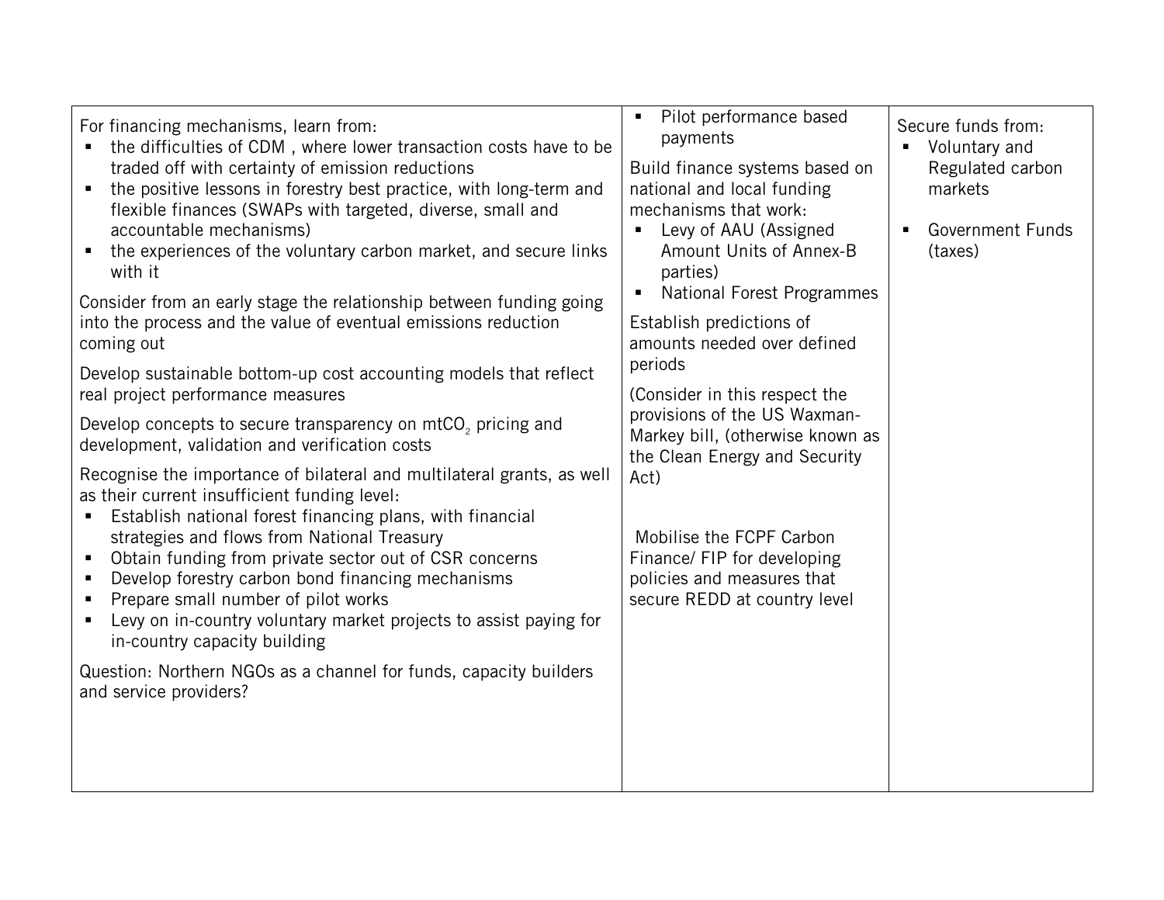| For financing mechanisms, learn from:<br>the difficulties of CDM, where lower transaction costs have to be<br>traded off with certainty of emission reductions<br>the positive lessons in forestry best practice, with long-term and<br>$\blacksquare$<br>flexible finances (SWAPs with targeted, diverse, small and<br>accountable mechanisms)<br>the experiences of the voluntary carbon market, and secure links<br>with it<br>Consider from an early stage the relationship between funding going<br>into the process and the value of eventual emissions reduction<br>coming out<br>Develop sustainable bottom-up cost accounting models that reflect<br>real project performance measures<br>Develop concepts to secure transparency on mtCO <sub>2</sub> pricing and<br>development, validation and verification costs<br>Recognise the importance of bilateral and multilateral grants, as well<br>as their current insufficient funding level:<br>Establish national forest financing plans, with financial<br>$\blacksquare$<br>strategies and flows from National Treasury<br>Obtain funding from private sector out of CSR concerns<br>$\blacksquare$<br>Develop forestry carbon bond financing mechanisms<br>$\blacksquare$<br>Prepare small number of pilot works<br>$\blacksquare$<br>Levy on in-country voluntary market projects to assist paying for<br>in-country capacity building<br>Question: Northern NGOs as a channel for funds, capacity builders<br>and service providers? | Pilot performance based<br>$\blacksquare$<br>payments<br>Build finance systems based on<br>national and local funding<br>mechanisms that work:<br>Levy of AAU (Assigned<br>$\blacksquare$<br>Amount Units of Annex-B<br>parties)<br><b>National Forest Programmes</b><br>Establish predictions of<br>amounts needed over defined<br>periods<br>(Consider in this respect the<br>provisions of the US Waxman-<br>Markey bill, (otherwise known as<br>the Clean Energy and Security<br>Act)<br>Mobilise the FCPF Carbon<br>Finance/ FIP for developing<br>policies and measures that<br>secure REDD at country level | Secure funds from:<br>Voluntary and<br>Regulated carbon<br>markets<br><b>Government Funds</b><br>$\blacksquare$<br>(taxes) |
|-------------------------------------------------------------------------------------------------------------------------------------------------------------------------------------------------------------------------------------------------------------------------------------------------------------------------------------------------------------------------------------------------------------------------------------------------------------------------------------------------------------------------------------------------------------------------------------------------------------------------------------------------------------------------------------------------------------------------------------------------------------------------------------------------------------------------------------------------------------------------------------------------------------------------------------------------------------------------------------------------------------------------------------------------------------------------------------------------------------------------------------------------------------------------------------------------------------------------------------------------------------------------------------------------------------------------------------------------------------------------------------------------------------------------------------------------------------------------------------------------------|--------------------------------------------------------------------------------------------------------------------------------------------------------------------------------------------------------------------------------------------------------------------------------------------------------------------------------------------------------------------------------------------------------------------------------------------------------------------------------------------------------------------------------------------------------------------------------------------------------------------|----------------------------------------------------------------------------------------------------------------------------|
|                                                                                                                                                                                                                                                                                                                                                                                                                                                                                                                                                                                                                                                                                                                                                                                                                                                                                                                                                                                                                                                                                                                                                                                                                                                                                                                                                                                                                                                                                                       |                                                                                                                                                                                                                                                                                                                                                                                                                                                                                                                                                                                                                    |                                                                                                                            |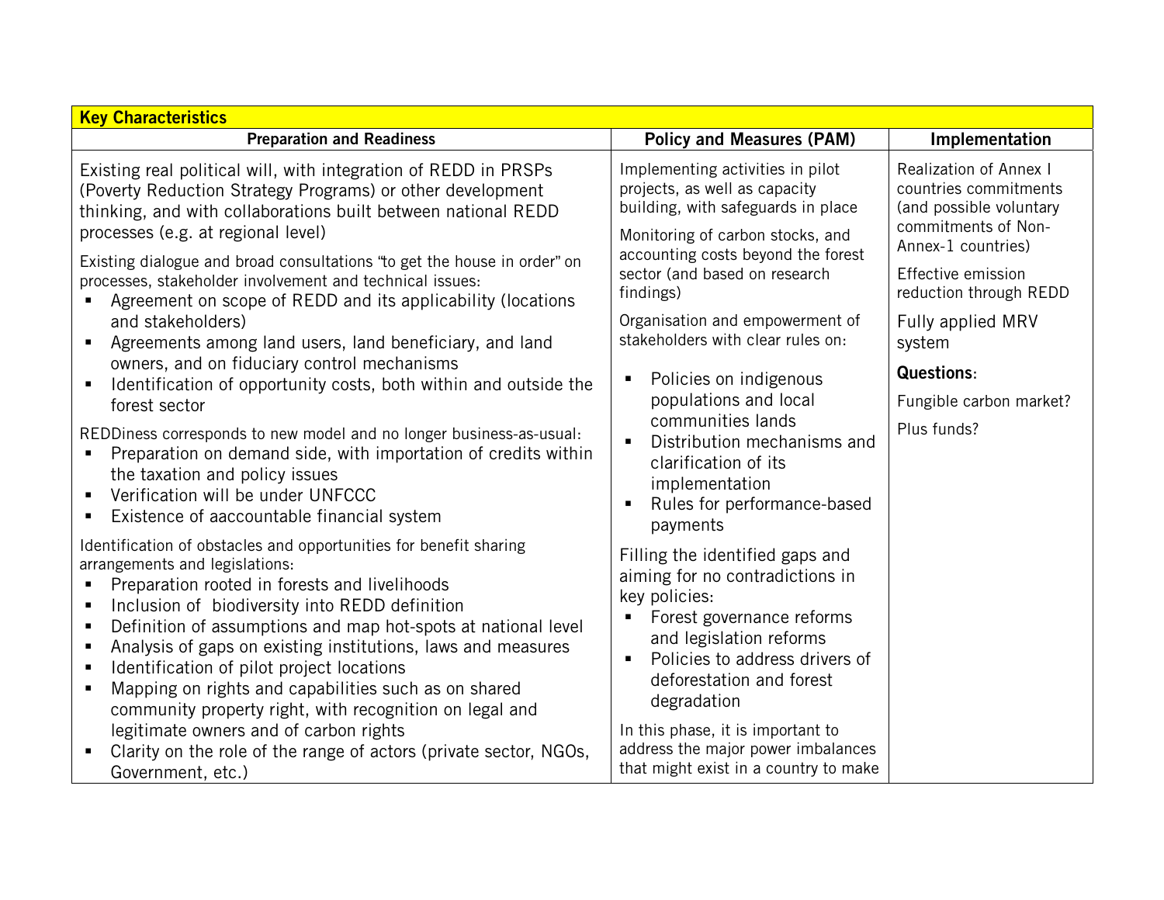| <b>Key Characteristics</b>                                                                                                                                                                                                                                                                                                                                                                                                                                                                                             |                                                                                                                                                                                                                                            |                                                                                                                                |  |
|------------------------------------------------------------------------------------------------------------------------------------------------------------------------------------------------------------------------------------------------------------------------------------------------------------------------------------------------------------------------------------------------------------------------------------------------------------------------------------------------------------------------|--------------------------------------------------------------------------------------------------------------------------------------------------------------------------------------------------------------------------------------------|--------------------------------------------------------------------------------------------------------------------------------|--|
| <b>Preparation and Readiness</b>                                                                                                                                                                                                                                                                                                                                                                                                                                                                                       | <b>Policy and Measures (PAM)</b>                                                                                                                                                                                                           | Implementation                                                                                                                 |  |
| Existing real political will, with integration of REDD in PRSPs<br>(Poverty Reduction Strategy Programs) or other development<br>thinking, and with collaborations built between national REDD<br>processes (e.g. at regional level)                                                                                                                                                                                                                                                                                   | Implementing activities in pilot<br>projects, as well as capacity<br>building, with safeguards in place<br>Monitoring of carbon stocks, and                                                                                                | <b>Realization of Annex I</b><br>countries commitments<br>(and possible voluntary<br>commitments of Non-<br>Annex-1 countries) |  |
| Existing dialogue and broad consultations "to get the house in order" on<br>processes, stakeholder involvement and technical issues:<br>Agreement on scope of REDD and its applicability (locations                                                                                                                                                                                                                                                                                                                    | accounting costs beyond the forest<br>sector (and based on research<br>findings)                                                                                                                                                           | Effective emission<br>reduction through REDD                                                                                   |  |
| and stakeholders)<br>Agreements among land users, land beneficiary, and land                                                                                                                                                                                                                                                                                                                                                                                                                                           | Organisation and empowerment of<br>stakeholders with clear rules on:                                                                                                                                                                       | Fully applied MRV<br>system                                                                                                    |  |
| owners, and on fiduciary control mechanisms<br>Identification of opportunity costs, both within and outside the<br>$\blacksquare$                                                                                                                                                                                                                                                                                                                                                                                      | Policies on indigenous<br>Е<br>populations and local                                                                                                                                                                                       | <b>Questions:</b>                                                                                                              |  |
| forest sector                                                                                                                                                                                                                                                                                                                                                                                                                                                                                                          |                                                                                                                                                                                                                                            | Fungible carbon market?                                                                                                        |  |
| REDDiness corresponds to new model and no longer business-as-usual:<br>Preparation on demand side, with importation of credits within<br>the taxation and policy issues<br>Verification will be under UNFCCC<br>Existence of aaccountable financial system                                                                                                                                                                                                                                                             | communities lands<br>Distribution mechanisms and<br>×<br>clarification of its<br>implementation<br>Rules for performance-based<br>Е<br>payments                                                                                            | Plus funds?                                                                                                                    |  |
| Identification of obstacles and opportunities for benefit sharing<br>arrangements and legislations:<br>Preparation rooted in forests and livelihoods<br>Inclusion of biodiversity into REDD definition<br>Definition of assumptions and map hot-spots at national level<br>п<br>Analysis of gaps on existing institutions, laws and measures<br>Identification of pilot project locations<br>ш<br>Mapping on rights and capabilities such as on shared<br>٠<br>community property right, with recognition on legal and | Filling the identified gaps and<br>aiming for no contradictions in<br>key policies:<br>Forest governance reforms<br>and legislation reforms<br>Policies to address drivers of<br>$\blacksquare$<br>deforestation and forest<br>degradation |                                                                                                                                |  |
| legitimate owners and of carbon rights<br>Clarity on the role of the range of actors (private sector, NGOs,<br>Government, etc.)                                                                                                                                                                                                                                                                                                                                                                                       | In this phase, it is important to<br>address the major power imbalances<br>that might exist in a country to make                                                                                                                           |                                                                                                                                |  |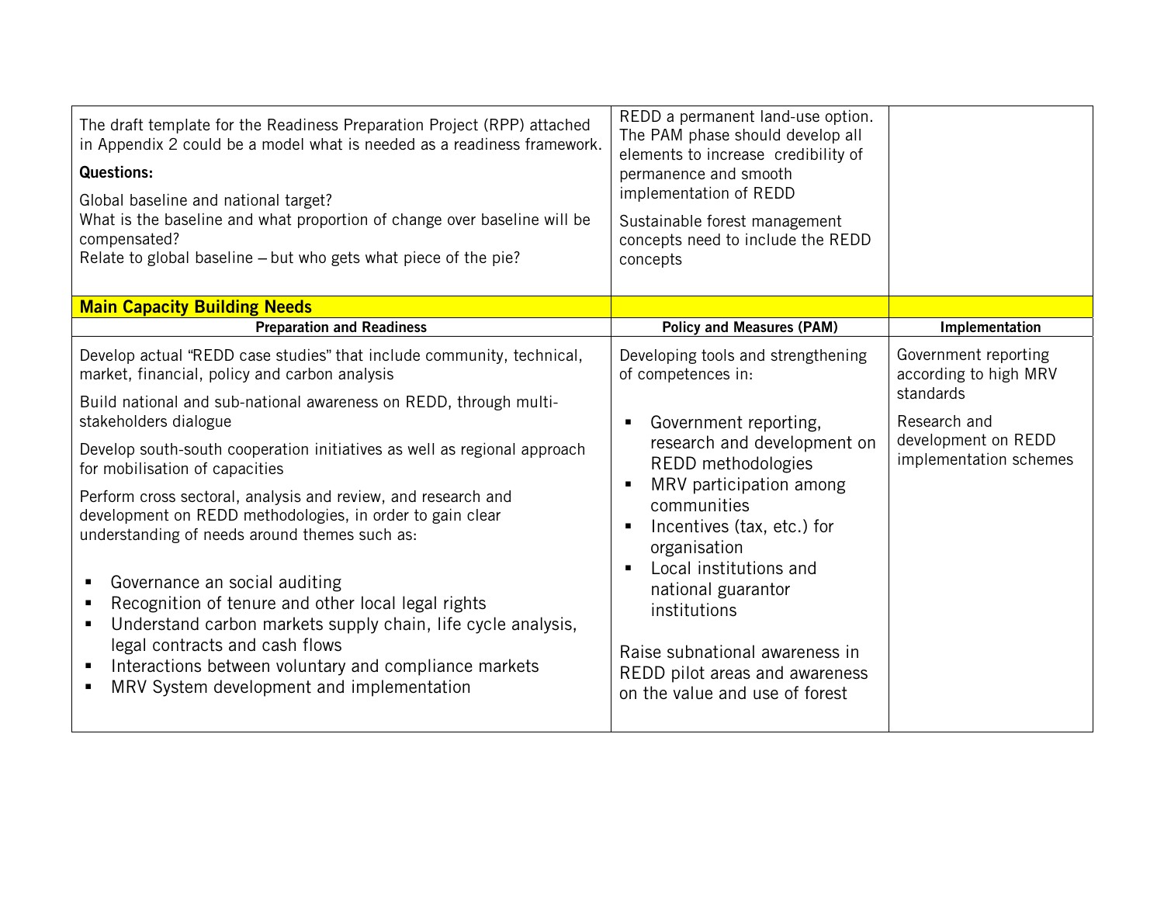| The draft template for the Readiness Preparation Project (RPP) attached<br>in Appendix 2 could be a model what is needed as a readiness framework.<br><b>Questions:</b><br>Global baseline and national target?<br>What is the baseline and what proportion of change over baseline will be<br>compensated?<br>Relate to global baseline – but who gets what piece of the pie?                                                                                                            | REDD a permanent land-use option.<br>The PAM phase should develop all<br>elements to increase credibility of<br>permanence and smooth<br>implementation of REDD<br>Sustainable forest management<br>concepts need to include the REDD<br>concepts                                      |                                                            |
|-------------------------------------------------------------------------------------------------------------------------------------------------------------------------------------------------------------------------------------------------------------------------------------------------------------------------------------------------------------------------------------------------------------------------------------------------------------------------------------------|----------------------------------------------------------------------------------------------------------------------------------------------------------------------------------------------------------------------------------------------------------------------------------------|------------------------------------------------------------|
| <b>Main Capacity Building Needs</b>                                                                                                                                                                                                                                                                                                                                                                                                                                                       |                                                                                                                                                                                                                                                                                        |                                                            |
| <b>Preparation and Readiness</b>                                                                                                                                                                                                                                                                                                                                                                                                                                                          | <b>Policy and Measures (PAM)</b>                                                                                                                                                                                                                                                       | Implementation                                             |
| Develop actual "REDD case studies" that include community, technical,<br>market, financial, policy and carbon analysis                                                                                                                                                                                                                                                                                                                                                                    | Developing tools and strengthening<br>of competences in:                                                                                                                                                                                                                               | Government reporting<br>according to high MRV<br>standards |
| Build national and sub-national awareness on REDD, through multi-<br>stakeholders dialogue                                                                                                                                                                                                                                                                                                                                                                                                | Government reporting,<br>Е                                                                                                                                                                                                                                                             | Research and                                               |
| Develop south-south cooperation initiatives as well as regional approach<br>for mobilisation of capacities                                                                                                                                                                                                                                                                                                                                                                                | research and development on<br>REDD methodologies                                                                                                                                                                                                                                      | development on REDD<br>implementation schemes              |
| Perform cross sectoral, analysis and review, and research and<br>development on REDD methodologies, in order to gain clear<br>understanding of needs around themes such as:<br>Governance an social auditing<br>ш<br>Recognition of tenure and other local legal rights<br>Understand carbon markets supply chain, life cycle analysis,<br>ш<br>legal contracts and cash flows<br>Interactions between voluntary and compliance markets<br>п<br>MRV System development and implementation | MRV participation among<br>$\blacksquare$<br>communities<br>Incentives (tax, etc.) for<br>п<br>organisation<br>Local institutions and<br>п<br>national guarantor<br>institutions<br>Raise subnational awareness in<br>REDD pilot areas and awareness<br>on the value and use of forest |                                                            |
|                                                                                                                                                                                                                                                                                                                                                                                                                                                                                           |                                                                                                                                                                                                                                                                                        |                                                            |